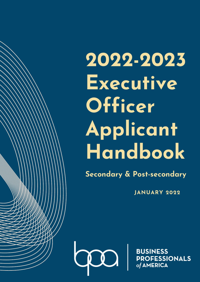# **2022-2023 Executive Officer Applicant Handbook**

**Secondary & Post-secondary**

**JANUARY 2022**

 $\mathbf{V}$ 

**BUSINESS PROFESSIONALS** of AMERICA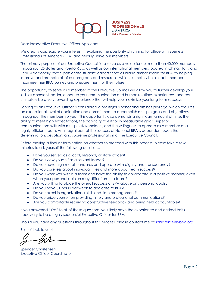

Dear Prospective Executive Officer Applicant:

We greatly appreciate your interest in exploring the possibility of running for office with Business Professionals of America (BPA) and helping serve our members.

The primary purpose of our Executive Council is to serve as a voice for our more than 40,000 members throughout 25 states and Puerto Rico, as well as our international members located in China, Haiti, and Peru. Additionally, these passionate student leaders serve as brand ambassadors for BPA by helping improve and promote all of our programs and resources, which ultimately helps each member maximize their BPA journey and prepare them for their future.

The opportunity to serve as a member of the Executive Council will allow you to further develop your skills as a servant leader, enhance your communication and human relations experiences, and can ultimately be a very rewarding experience that will help you maximize your long-term success.

Serving as an Executive Officer is considered a prestigious honor and distinct privilege, which requires an exceptional level of dedication and commitment to accomplish multiple goals and objectives throughout the membership year. This opportunity also demands a significant amount of time, the ability to meet high expectations, the capacity to establish measurable goals, superior communications skills with multiple stakeholders, and the willingness to operate as a member of a highly efficient team. An integral part of the success of National BPA is dependent upon the determination, devotion, and supreme professionalism of the Executive Council.

Before making a final determination on whether to proceed with this process, please take a few minutes to ask yourself the following questions:

- Have you served as a local, regional, or state officer?
- Do you view yourself as a servant leader?
- Do you have high moral standards and operate with dignity and transparency?
- Do you care less about individual titles and more about team success?
- Do you work well within a team and have the ability to collaborate in a positive manner, even when your personal opinion may differ from the team?
- Are you willing to place the overall success of BPA above any personal goals?
- Do you have 5+ hours per week to dedicate to BPA?
- Do you excel in organizational skills and time management?
- Do you pride yourself on providing timely and professional communications?
- Are you comfortable receiving constructive feedback and being held accountable?

If you answered "Yes" to all of these questions, you likely have the experience and desired traits necessary to be a highly successful Executive Officer for BPA.

Should you have any questions throughout this process, please contact me at [schristensen@bpa.org.](mailto:schristensen@bpa.org)

Best of luck to you!

Spencer Christensen Executive Officer Coordinator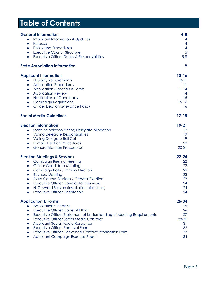# **Table of Contents**

| <b>General Information</b><br>Important Information & Updates<br>$\bullet$<br>Purpose<br>$\bullet$<br><b>Policy and Procedures</b><br>$\bullet$<br><b>Executive Council Structure</b><br>$\bullet$<br>Executive Officer Duties & Responsibilities<br>$\bullet$                                                                                                                                                                                                                               | $4 - 8$<br>4<br>4<br>$\overline{4}$<br>5<br>$5-8$                        |
|----------------------------------------------------------------------------------------------------------------------------------------------------------------------------------------------------------------------------------------------------------------------------------------------------------------------------------------------------------------------------------------------------------------------------------------------------------------------------------------------|--------------------------------------------------------------------------|
| <b>State Association Information</b>                                                                                                                                                                                                                                                                                                                                                                                                                                                         | 9                                                                        |
| <b>Applicant Information</b><br><b>Eligibility Requirements</b><br>$\bullet$<br><b>Application Procedures</b><br>$\bullet$<br><b>Application Materials &amp; Forms</b><br>$\bullet$<br><b>Application Review</b><br>$\bullet$<br>Notification of Candidacy<br>$\bullet$<br><b>Campaign Regulations</b><br>$\bullet$<br><b>Officer Election Grievance Policy</b><br>$\bullet$                                                                                                                 | $10 - 16$<br>$10 - 11$<br>11<br>$11 - 14$<br>14<br>15<br>$15 - 16$<br>16 |
| <b>Social Media Guidelines</b>                                                                                                                                                                                                                                                                                                                                                                                                                                                               | $17 - 18$                                                                |
| <b>Election Information</b><br><b>State Association Voting Delegate Allocation</b><br>$\bullet$<br><b>Voting Delegate Responsibilities</b><br>$\bullet$<br>Voting Delegate Roll Call<br>$\bullet$<br><b>Primary Election Procedures</b><br>$\bullet$<br><b>General Election Procedures</b><br>$\bullet$                                                                                                                                                                                      | $19 - 21$<br>19<br>19<br>19<br>20<br>$20 - 21$                           |
| <b>Election Meetings &amp; Sessions</b><br><b>Campaign Briefing Meeting</b><br>$\bullet$<br><b>Officer Candidate Meeting</b><br>$\bullet$<br><b>Campaign Rally / Primary Election</b><br>$\bullet$<br><b>Business Meeting</b><br>$\bullet$<br><b>State Caucus Sessions / General Election</b><br>$\bullet$<br><b>Executive Officer Candidate Interviews</b><br>$\bullet$<br>NLC Award Session (installation of officers)<br>$\bullet$<br><b>Executive Officer Orientation</b>                | $22 - 24$<br>22<br>22<br>22<br>23<br>23<br>24<br>24<br>24                |
| <b>Application &amp; Forms</b><br><b>Application Checklist</b><br><b>Executive Officer Code of Ethics</b><br>Executive Officer Statement of Understanding of Meeting Requirements<br>$\bullet$<br><b>Executive Officer Social Media Contract</b><br>$\bullet$<br><b>Applicant Social Media Responses</b><br>$\bullet$<br><b>Executive Officer Removal Form</b><br>$\bullet$<br><b>Executive Officer Grievance Contact Information Form</b><br>$\bullet$<br>Applicant Campaign Expense Report | $25 - 34$<br>25<br>26<br>27<br>28-30<br>31<br>32<br>33<br>34             |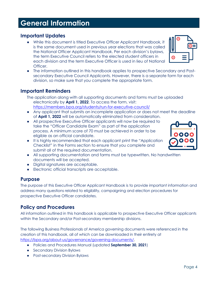# **General Information**

### **Important Updates**

- While this document is titled Executive Officer Applicant Handbook, it is the same document used in previous year elections that was called the National Officer Applicant Handbook. Per each division's bylaws, the term Executive Council refers to the elected student officers in each division and the term Executive Officer is used in lieu of National Officer.
- The information outlined in this handbook applies to prospective Secondary and Postsecondary Executive Council Applicants. However, there is a separate form for each division, so make sure that you complete the appropriate form.

#### **Important Reminders**

- The application along with all supporting documents and forms must be uploaded electronically by **April 1, 2022**. To access the form, visit: <https://members.bpa.org/students/run-for-executive-council/>
- Any applicant that submits an incomplete application or does not meet the deadline of **April 1, 2022** will be automatically eliminated from consideration.
- All prospective Executive Officer applicants will now be required to take the "Officer Candidate Exam" as part of the application process. A minimum score of 70 must be achieved in order to be eligible as an official candidate.
- It is highly recommended that each applicant print the "Application Checklist" in the Forms section to ensure that you complete and submit all of the required documentation.
- All supporting documentation and forms must be typewritten. No handwritten documents will be accepted.
- Digital signatures are acceptable.
- Electronic official transcripts are acceptable.

# **Purpose**

The purpose of this Executive Officer Applicant Handbook is to provide important information and address many questions related to eligibility, campaigning and election procedures for prospective Executive Officer candidates.

# **Policy and Procedures**

All information outlined in this handbook is applicable to prospective Executive Officer applicants within the Secondary and/or Post-secondary membership divisions.

The following Business Professionals of America governing documents were referenced in the creation of this handbook, all of which can be downloaded in their entirety at [https://bpa.org/about-us/governance/governing-documents/.](https://bpa.org/about-us/governance/governing-documents/)

- Policies and Procedures Manual (updated **September 30, 2021**)
- Secondary Division Bylaws
- Post-secondary Division Bylaws



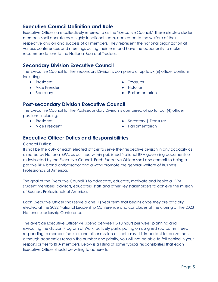#### **Executive Council Definition and Role**

Executive Officers are collectively referred to as the "Executive Council." These elected student members shall operate as a highly functional team, dedicated to the welfare of their respective division and success of all members. They represent the national organization at various conferences and meetings during their term and have the opportunity to make recommendations to the National Board of Trustees.

### **Secondary Division Executive Council**

The Executive Council for the Secondary Division is comprised of up to six (6) officer positions, including:

- President
- Vice President
- Secretary
- Treasurer
- **•** Historian
- Parliamentarian

# **Post-secondary Division Executive Council**

The Executive Council for the Post-secondary Division is comprised of up to four (4) officer positions, including:

- President
- Vice President
- Secretary | Treasurer
- Parliamentarian

#### **Executive Officer Duties and Responsibilities**

#### General Duties:

It shall be the duty of each elected officer to serve their respective division in any capacity as directed by National BPA, as outlined within published National BPA governing documents or as instructed by the Executive Council. Each Executive Officer shall also commit to being a positive BPA brand ambassador and always promote the general welfare of Business Professionals of America.

The goal of the Executive Council is to advocate, educate, motivate and inspire all BPA student members, advisors, educators, staff and other key stakeholders to achieve the mission of Business Professionals of America.

Each Executive Officer shall serve a one (1) year term that begins once they are officially elected at the 2022 National Leadership Conference and concludes at the closing of the 2023 National Leadership Conference.

The average Executive Officer will spend between 5-10 hours per week planning and executing the division Program of Work, actively participating on assigned sub-committees, responding to member inquiries and other mission-critical tasks. It is important to realize that, although academics remain the number one priority, you will not be able to fall behind in your responsibilities to BPA members. Below is a listing of some typical responsibilities that each Executive Officer should be willing to adhere to: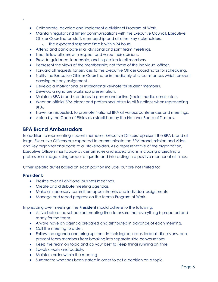- Collaborate, develop and implement a divisional Program of Work.
- Maintain regular and timely communications with the Executive Council, Executive Officer Coordinator, staff, membership and all other key stakeholders.
	- o The expected response time is within 24 hours.
- Attend and participate in all divisional and joint team meetings.
- Treat fellow officers with respect and value their opinions.
- Provide guidance, leadership, and inspiration to all members.
- Represent the views of the membership; not those of the individual officer.
- Forward all requests for services to the Executive Officer Coordinator for scheduling.
- Notify the Executive Officer Coordinator immediately of circumstances which prevent carrying out any assignment.
- Develop a motivational or inspirational keynote for student members.
- Develop a signature workshop presentation.
- Maintain BPA brand standards in person and online (social media, email, etc.).
- Wear an official BPA blazer and professional attire to all functions when representing BPA.
- Travel, as requested, to promote National BPA at various conferences and meetings.
- Abide by the Code of Ethics as established by the National Board of Trustees.

#### **BPA Brand Ambassadors**

In addition to representing student members, Executive Officers represent the BPA brand at large. Executive Officers are expected to communicate the BPA brand, mission and vision, and key organizational goals to all stakeholders. As a representative of the organization, Executive Officers must abide by certain rules and expectations, including projecting a professional image, using proper etiquette and interacting in a positive manner at all times.

Other specific duties based on each position include, but are not limited to:

#### **President:**

'

- Preside over all divisional business meetings.
- Create and distribute meeting agendas.
- Make all necessary committee appointments and individual assignments.
- Manage and report progress on the team's Program of Work.

In presiding over meetings, the **President** should adhere to the following:

- Arrive before the scheduled meeting time to ensure that everything is prepared and ready for the team.
- Always have an agenda prepared and distributed in advance of each meeting.
- Call the meeting to order.
- Follow the agenda and bring up items in their logical order, lead all discussions, and prevent team members from breaking into separate side conversations.
- Keep the team on topic and do your best to keep things running on time.
- Speak clearly and audibly.
- Maintain order within the meeting.
- Summarize what has been stated in order to get a decision on a topic.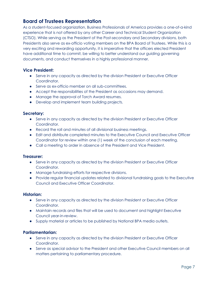### **Board of Trustees Representation**

As a student-focused organization, Business Professionals of America provides a one-of-a-kind experience that is not offered by any other Career and Technical Student Organization (CTSO). While serving as the President of the Post-secondary and Secondary divisions, both Presidents also serve as ex-officio voting members on the BPA Board of Trustees. While this is a very exciting and rewarding opportunity, it is imperative that the officers elected President have additional time to commit, be willing to better understand our guiding governing documents, and conduct themselves in a highly professional manner.

#### **Vice President:**

- Serve in any capacity as directed by the division President or Executive Officer Coordinator.
- Serve as ex-officio member on all sub-committees.
- Accept the responsibilities of the President as occasions may demand.
- Manage the approval of Torch Award resumes.
- Develop and implement team building projects.

#### **Secretary:**

- Serve in any capacity as directed by the division President or Executive Officer Coordinator.
- Record the roll and minutes of all divisional business meetings.
- Edit and distribute completed minutes to the Executive Council and Executive Officer Coordinator for review within one (1) week of the conclusion of each meeting.
- Call a meeting to order in absence of the President and Vice President.

#### **Treasurer:**

- Serve in any capacity as directed by the division President or Executive Officer Coordinator.
- Manage fundraising efforts for respective divisions.
- Provide regular financial updates related to divisional fundraising goals to the Executive Council and Executive Officer Coordinator.

#### **Historian:**

- Serve in any capacity as directed by the division President or Executive Officer Coordinator.
- Maintain records and files that will be used to document and highlight Executive Council year-in-review.
- Supply material or articles to be published by National BPA media outlets.

#### **Parliamentarian:**

- Serve in any capacity as directed by the division President or Executive Officer Coordinator.
- Serve as special advisor to the President and other Executive Council members on all matters pertaining to parliamentary procedure.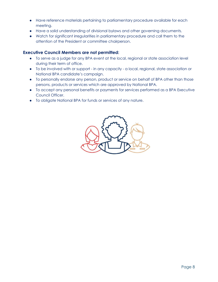- Have reference materials pertaining to parliamentary procedure available for each meeting.
- Have a solid understanding of divisional bylaws and other governing documents.
- Watch for significant irregularities in parliamentary procedure and call them to the attention of the President or committee chairperson.

#### **Executive Council Members are not permitted:**

- To serve as a judge for any BPA event at the local, regional or state association level during their term of office.
- To be involved with or support in any capacity a local, regional, state association or National BPA candidate's campaign.
- To personally endorse any person, product or service on behalf of BPA other than those persons, products or services which are approved by National BPA.
- To accept any personal benefits or payments for services performed as a BPA Executive Council Officer.
- To obligate National BPA for funds or services of any nature.

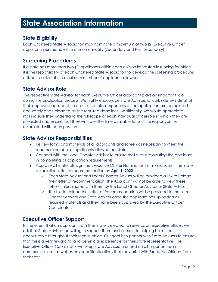# **State Association Information**

#### **State Eligibility**

Each Chartered State Association may nominate a maximum of two (2) Executive Officer applicants per membership division annually (Secondary and Post-secondary).

#### **Screening Procedures**

If a state has more than two (2) applicants within each division interested in running for office, it is the responsibility of each Chartered State Association to develop the screening procedures utilized to arrive at the maximum number of applicants allowed.

#### **State Advisor Role**

The respective State Advisor for each Executive Officer applicant plays an important role during the application process. We highly encourage State Advisors to work side-by-side all of their approved applicants to ensure that all components of the application are completed accurately and uploaded by the required deadlines. Additionally, we would appreciate making sure they understand the full scope of each individual officer role in which they are interested and ensure that they will have the time available to fulfill the responsibilities associated with each position.

#### **State Advisor Responsibilities**

- Review forms and materials of all applicants and screen as necessary to meet the maximum number of applicants allowed per state.
- Connect with the Local Chapter Advisor to ensure that they are assisting the applicant in completing all application requirements.
- Approve all materials, sign the Executive Officer Nomination Form and submit the State Association letter of recommendation by **April 1, 2022**.
	- o Each State Advisor and Local Chapter Advisor will be provided a link to upload their letter of recommendation. The Applicant will not be able to view these letters unless shared with them by the Local Chapter Advisor or State Advisor.
	- o The link to upload the Letter of Recommendation will be provided to the Local Chapter Advisor and State Advisor once the applicant has uploaded all required materials and they have been approved by the Executive Officer Coordinator.

#### **Executive Officer Support**

In the event that an applicant from their state is elected to serve as an executive officer, we ask that State Advisors be willing to support them and commit to helping hold them accountable throughout their term in office. Our goal is to partner with State Advisors to ensure that this is a very rewarding and beneficial experience for their state representative. The Executive Officer Coordinator will keep State Advisors informed on all important team communications, as well as any specific situations that may arise with Executive Officers from their state.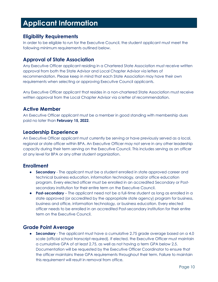# **Applicant Information**

#### **Eligibility Requirements**

In order to be eligible to run for the Executive Council, the student applicant must meet the following minimum requirements outlined below.

### **Approval of State Association**

Any Executive Officer applicant residing in a Chartered State Association must receive written approval from both the State Advisor and Local Chapter Advisor via letters of recommendation. Please keep in mind that each State Association may have their own requirements when selecting or approving Executive Council applicants.

Any Executive Officer applicant that resides in a non-chartered State Association must receive written approval from the Local Chapter Advisor via a letter of recommendation.

# **Active Member**

An Executive Officer applicant must be a member in good standing with membership dues paid no later than **February 15, 2022**.

#### **Leadership Experience**

An Executive Officer applicant must currently be serving or have previously served as a local, regional or state officer within BPA. An Executive Officer may not serve in any other leadership capacity during their term serving on the Executive Council. This includes serving as an officer at any level for BPA or any other student organization.

# **Enrollment**

- **Secondary** The applicant must be a student enrolled in state approved career and technical business education, information technology, and/or office education program. Every elected officer must be enrolled in an accredited Secondary or Postsecondary institution for their entire term on the Executive Council.
- **Post-secondary** The applicant need not be a full-time student as long as enrolled in a state approved (or accredited by the appropriate state agency) program for business, business and office, information technology, or business education. Every elected officer needs to be enrolled in an accredited Post-secondary institution for their entire term on the Executive Council.

# **Grade Point Average**

● **Secondary** - The applicant must have a cumulative 2.75 grade average based on a 4.0 scale (official school transcript required). If elected, the Executive Officer must maintain a cumulative GPA of at least 2.75, as well as not having a term GPA below 2.5. Documentation will be requested by the Executive Officer Coordinator to ensure that the officer maintains these GPA requirements throughout their term. Failure to maintain this requirement will result in removal from office.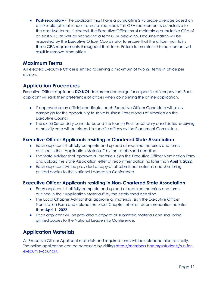**• Post-secondary** - The applicant must have a cumulative 2.75 grade average based on a 4.0 scale (official school transcript required). This GPA requirement is cumulative for the past two terms. If elected, the Executive Officer must maintain a cumulative GPA of at least 2.75, as well as not having a term GPA below 2.5. Documentation will be requested by the Executive Officer Coordinator to ensure that the officer maintains these GPA requirements throughout their term. Failure to maintain this requirement will result in removal from office.

#### **Maximum Terms**

An elected Executive Officer is limited to serving a maximum of two (2) terms in office per division.

# **Application Procedures**

Executive Officer applicants **DO NOT** declare or campaign for a specific officer position. Each applicant will rank their preference of offices when completing the online application.

- If approved as an official candidate, each Executive Officer Candidate will solely campaign for the opportunity to serve Business Professionals of America on the Executive Council.
- The six (6) Secondary candidates and the four (4) Post- secondary candidates receiving a majority vote will be placed in specific offices by the Placement Committee.

#### **Executive Officer Applicants residing in Chartered State Association**

- Each applicant shall fully complete and upload all required materials and forms outlined in the "Application Materials" by the established deadline.
- The State Advisor shall approve all materials, sign the Executive Officer Nomination Form and upload the State Association letter of recommendation no later than **April 1, 2022**.
- Each applicant will be provided a copy of all submitted materials and shall bring printed copies to the National Leadership Conference.

#### **Executive Officer Applicants residing in Non-Chartered State Association**

- Each applicant shall fully complete and upload all required materials and forms outlined in the "Application Materials" by the established deadline.
- The Local Chapter Advisor shall approve all materials, sign the Executive Officer Nomination Form and upload the Local Chapter letter of recommendation no later than **April 1, 2022**.
- Each applicant will be provided a copy of all submitted materials and shall bring printed copies to the National Leadership Conference.

# **Application Materials**

All Executive Officer Applicant materials and required forms will be uploaded electronically. The online application can be accessed by visiting [https://members.bpa.org/students/run-for](https://members.bpa.org/students/run-for-executive-council/)[executive-council/.](https://members.bpa.org/students/run-for-executive-council/)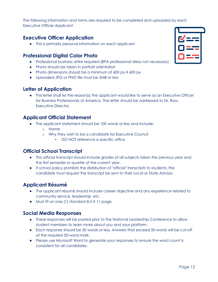The following information and forms are required to be completed and uploaded by each Executive Officer Applicant:

### **Executive Officer Application**

● This is primarily personal information on each applicant

#### **Professional Digital Color Photo**

- Professional business attire required (BPA professional dress not necessary)
- Photo should be taken in portrait orientation
- Photo dimensions should be a minimum of 600 px X 600 px
- Uploaded JPG or PNG file must be 2MB or less

#### **Letter of Application**

● This letter shall list the reason(s) the applicant would like to serve as an Executive Officer for Business Professionals of America. The letter should be addressed to Dr. Ross, Executive Director.

#### **Applicant Official Statement**

- The applicant statement should be 100 words or less and include:
	- o Name
	- o Why they wish to be a candidate for Executive Council
		- DO NOT reference a specific office

#### **Official School Transcript**

- This official transcript should include grades of all subjects taken the previous year and the first semester or quarter of the current year.
- If school policy prohibits the distribution of "official" transcripts to students, the candidate must request the transcript be sent to their Local or State Advisor.

#### **Applicant Résumé**

- The applicant résumé should include career objective and any experience related to community service, leadership, etc.
- Must fit on one (1) standard 8.5 X 11 page.

#### **Social Media Responses**

- These responses will be posted prior to the National Leadership Conference to allow student members to learn more about you and your platform.
- Each response should be 50 words or less. Answers that exceed 50 words will be cut-off at the required 50-word mark.
- Please use Microsoft Word to generate your responses to ensure the word count is consistent for all candidates.

| V<br>$\frac{\text{d}}{\text{d}x}$ |  |
|-----------------------------------|--|
| ==                                |  |
| <u>——</u>                         |  |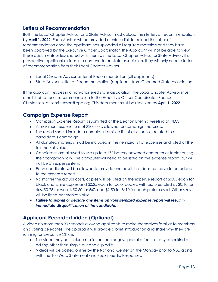### **Letters of Recommendation**

Both the Local Chapter Advisor and State Advisor must upload their letters of recommendation by **April 1, 2022**. Each Advisor will be provided a unique link to upload the letter of recommendation once the applicant has uploaded all required materials and they have been approved by the Executive Officer Coordinator. The Applicant will not be able to view these documents unless shared with them by the Local Chapter Advisor or State Advisor. If a prospective applicant resides in a non-chartered state association, they will only need a letter of recommendation from their Local Chapter Advisor.

- Local Chapter Advisor Letter of Recommendation (all applicants)
- State Advisor Letter of Recommendation (applicants from Chartered State Association)

If the applicant resides in a non-chartered state association, the Local Chapter Advisor must email their letter of recommendation to the Executive Officer Coordinator, Spencer Christensen, at schristensen@bpa.org. This document must be received by **April 1, 2022**.

#### **Campaign Expense Report**

- Campaign Expense Report is submitted at the Election Briefing Meeting at NLC.
- A maximum expenditure of \$200.00 is allowed for campaign materials.
- The report should include a complete itemized list of all expenses related to a candidate's campaign.
- All donated materials must be included in the itemized list of expenses and listed at the fair market value.
- Candidates are allowed to use up to a 17" battery powered computer or tablet during their campaign rally. The computer will need to be listed on the expense report, but will not be an expense item.
- Each candidate will be allowed to provide one easel that does not have to be added to the expense report.
- No matter the actual costs, copies will be listed on the expense report at \$0.05 each for black and white copies and \$0.25 each for color copies, with pictures listed as \$0.10 for 4x6, \$0.25 for wallet, \$0.60 for 5x7, and \$2.50 for 8x10 for each picture used. Other sizes will be listed per market value.
- *Failure to submit or declare any items on your itemized expense report will result in immediate disqualification of the candidate.*

# **Applicant Recorded Video (Optional)**

A video no more than 30 seconds allowing applicants to make themselves familiar to members and voting delegates. The applicant will provide a brief introduction and share why they are running for Executive Office.

- The video may not include music, edited images, special effects, or any other kind of editing other than simple cut and clip edits.
- Videos will be posted online by the National Center on the Monday prior to NLC along with the 100 Word Statement and Social Media Responses.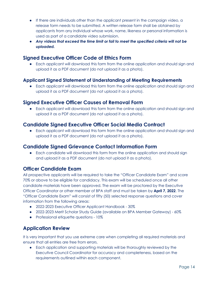- If there are individuals other than the applicant present in the campaign video, a release form needs to be submitted. A written release form shall be obtained by applicants from any individual whose work, name, likeness or personal information is used as part of a candidate video submission.
- *Any videos that exceed the time limit or fail to meet the specified criteria will not be uploaded.*

#### **Signed Executive Officer Code of Ethics Form**

● Each applicant will download this form from the online application and should sign and upload it as a PDF document (do not upload it as a photo).

#### **Applicant Signed Statement of Understanding of Meeting Requirements**

● Each applicant will download this form from the online application and should sign and upload it as a PDF document (do not upload it as a photo).

#### **Signed Executive Officer Causes of Removal Form**

● Each applicant will download this form from the online application and should sign and upload it as a PDF document (do not upload it as a photo).

#### **Candidate Signed Executive Officer Social Media Contract**

● Each applicant will download this form from the online application and should sign and upload it as a PDF document (do not upload it as a photo).

#### **Candidate Signed Grievance Contact Information Form**

• Each candidate will download this form from the online application and should sign and upload it as a PDF document (do not upload it as a photo).

#### **Officer Candidate Exam**

All prospective applicants will be required to take the "Officer Candidate Exam" and score 70% or above to be eligible for candidacy. This exam will be scheduled once all other candidate materials have been approved. The exam will be proctored by the Executive Officer Coordinator or other member of BPA staff and must be taken by **April 7, 2022**. The "Officer Candidate Exam" will consist of fifty (50) selected response questions and cover information from the following areas:

- 2022-2023 Executive Officer Applicant Handbook 30%
- 2022-2023 Merit Scholar Study Guide (available on BPA Member Gateway) 60%
- Professional etiquette questions 10%

#### **Application Review**

It is very important that you use extreme care when completing all required materials and ensure that all entries are free from errors.

● Each application and supporting materials will be thoroughly reviewed by the Executive Council Coordinator for accuracy and completeness, based on the requirements outlined within each component.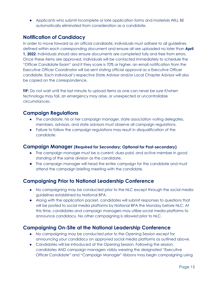● Applicants who submit incomplete or late application forms and materials WILL BE automatically eliminated from consideration as a candidate.

# **Notification of Candidacy**

In order to move forward as an official candidate, individuals must adhere to all guidelines defined within each corresponding document and ensure all are uploaded no later than **April 1, 2022**. Individuals should also ensure documents are completed fully and free from errors. Once these items are approved, individuals will be contacted immediately to schedule the "Officer Candidate Exam" and if they score is 70% or higher, an email notification from the Executive Officer Coordinator will be sent stating official approval as a Executive Officer candidate. Each individual's respective State Advisor and/or Local Chapter Advisor will also be copied on the correspondence.

**TIP:** Do not wait until the last minute to upload items as one can never be sure if/when technology may fail, an emergency may arise, or unexpected or uncontrollable circumstances.

#### **Campaign Regulations**

- The candidate, his or her campaign manager, state association voting delegates, members, advisors, and state advisors must observe all campaign regulations.
- Failure to follow the campaign regulations may result in disqualification of the candidate.

#### **Campaign Manager (Required for Secondary; Optional for Post-secondary)**

- The campaign manager must be a current, dues paid, and active member in good standing of the same division as the candidate.
- The campaign manager will head the entire campaign for the candidate and must attend the campaign briefing meeting with the candidate.

#### **Campaigning Prior to National Leadership Conference**

- No campaigning may be conducted prior to the NLC except through the social media guidelines established by National BPA.
- Along with the application packet, candidates will submit responses to questions that will be posted to social media platforms by National BPA the Monday before NLC. At this time, candidates and campaign managers may utilize social media platforms to announce candidacy. No other campaigning is allowed prior to NLC.

# **Campaigning On-Site at the National Leadership Conference**

- No campaigning may be conducted prior to the Opening Session except for announcing your candidacy on approved social media platforms as outlined above.
- Candidates will be introduced at the Opening Session. Following the session, candidates AND campaign managers visibly wearing the designated "Executive Officer Candidate" and "Campaign Manager" ribbons may begin campaigning using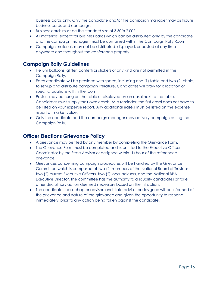business cards only. Only the candidate and/or the campaign manager may distribute business cards and campaign.

- Business cards must be the standard size of 3.50"x 2.00".
- All materials, except for business cards which can be distributed only by the candidate and the campaign manager, must be contained within the Campaign Rally Room.
- Campaign materials may not be distributed, displayed, or posted at any time anywhere else throughout the conference property.

#### **Campaign Rally Guidelines**

- Helium balloons, glitter, confetti or stickers of any kind are not permitted in the Campaign Rally.
- Each candidate will be provided with space, including one (1) table and two (2) chairs, to set-up and distribute campaign literature. Candidates will draw for allocation of specific locations within the room.
- Posters may be hung on the table or displayed on an easel next to the table. Candidates must supply their own easels. As a reminder, the first easel does not have to be listed on your expense report. Any additional easels must be listed on the expense report at market value.
- Only the candidate and the campaign manager may actively campaign during the Campaign Rally.

#### **Officer Elections Grievance Policy**

- A grievance may be filed by any member by completing the Grievance Form.
- The Grievance Form must be completed and submitted to the Executive Officer Coordinator by the State Advisor or designee within (1) hour of the referenced grievance.
- Grievances concerning campaign procedures will be handled by the Grievance Committee which is composed of two (2) members of the National Board of Trustees, two (2) current Executive Officers, two (2) local advisors, and the National BPA Executive Director. The committee has the authority to disqualify candidates or take other disciplinary action deemed necessary based on the infraction.
- The candidate, local chapter advisor, and state advisor or designee will be informed of the grievance and nature of the grievance and given the opportunity to respond immediately, prior to any action being taken against the candidate.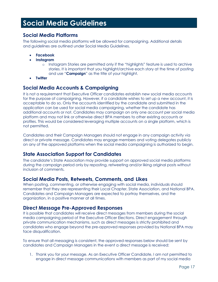# **Social Media Guidelines**

#### **Social Media Platforms**

The following social media platforms will be allowed for campaigning. Additional details and guidelines are outlined under Social Media Guidelines.

- **Facebook**
- **Instagram**
	- o Instagram Stories are permitted only if the "highlights" feature is used to archive stories. It is important that you highlight/archive each story at the time of posting and use "**Campaign**" as the title of your highlight.
- **Twitter**

#### **Social Media Accounts & Campaigning**

It is not a requirement that Executive Officer candidates establish new social media accounts for the purpose of campaigning. However, if a candidate wishes to set up a new account, it is acceptable to do so. Only the accounts identified by the candidate and submitted in the application can be used for social media campaigning, whether the candidate has additional accounts or not. Candidates may campaign on only one account per social media platform and may not link or otherwise direct BPA members to other existing accounts or profiles. This would be considered leveraging multiple accounts on a single platform, which is not permitted.

Candidates and their Campaign Managers should not engage in any campaign activity via direct or private message. Candidates may engage members and voting delegates publicly on any of the approved platforms when the social media campaigning is authorized to begin.

# **State Association Support for Candidates**

The candidate's State Association may provide support on approved social media platforms during the campaign period only by reposting, retweeting and/or liking original posts without inclusion of comments.

#### **Social Media Posts, Retweets, Comments, and Likes**

When posting, commenting, or otherwise engaging with social media, individuals should remember that they are representing their Local Chapter, State Association, and National BPA. Candidates and Campaign Managers are expected to portray themselves, and the organization, in a positive manner at all times.

#### **Direct Message Pre-Approved Responses**

It is possible that candidates will receive direct messages from members during the social media campaigning period of the Executive Officer Elections. Direct engagement through private communication mechanisms, such as direct messages is strictly prohibited and candidates who engage beyond the pre-approved responses provided by National BPA may face disqualification.

To ensure that all messaging is consistent, the approved responses below should be sent by candidates and Campaign Managers in the event a direct message is received:

1. Thank you for your message. As an Executive Officer Candidate, I am not permitted to engage in direct message communications with members as part of my social media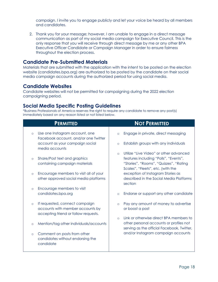campaign. I invite you to engage publicly and let your voice be heard by all members and candidates.

2. Thank you for your message; however, I am unable to engage in a direct message communication as part of my social media campaign for Executive Council. This is the only response that you will receive through direct message by me or any other BPA Executive Officer Candidate or Campaign Manager in order to ensure fairness throughout the election process.

#### **Candidate Pre-Submitted Materials**

Materials that are submitted with the application with the intent to be posted on the election website (candidates.bpa.org) are authorized to be posted by the candidate on their social media campaign accounts during the authorized period for using social media.

#### **Candidate Websites**

Candidate websites will not be permitted for campaigning during the 2022 election campaigning period.

#### **Social Media Specific Posting Guidelines**

\*Business Professionals of America reserves the right to require any candidate to remove any post(s) immediately based on any reason listed or not listed below.

| <b>PERMITTED</b>                                                                                                      | <b>NOT PERMITTED</b>                                                                                                                                                      |
|-----------------------------------------------------------------------------------------------------------------------|---------------------------------------------------------------------------------------------------------------------------------------------------------------------------|
| Use one Instagram account, one<br>$\circ$<br>Facebook account, and/or one Twitter                                     | Engage in private, direct messaging<br>$\circ$                                                                                                                            |
| account as your campaign social<br>media accounts                                                                     | Establish groups with any individuals<br>$\circ$                                                                                                                          |
| Share/Post text and graphics<br>$\circ$<br>containing campaign materials                                              | Utilize "Live Video" or other advanced<br>$\circ$<br>features including "Polls", "Events",<br>"Stories", "Rooms", "Quizzes", "Rating<br>Scales", "Fleets", etc. (with the |
| Encourage members to visit all of your<br>$\circ$<br>other approved social media platforms                            | exception of Instagram Stories as<br>described in the Social Media Platforms<br>section                                                                                   |
| Encourage members to visit<br>$\circ$<br>candidates.bpa.org                                                           | Endorse or support any other candidate<br>$\circ$                                                                                                                         |
| If requested, connect campaign<br>$\circ$<br>accounts with member accounts by<br>accepting friend or follow requests. | Pay any amount of money to advertise<br>$\Omega$<br>or boost a post                                                                                                       |
| Mention/tag other individuals/accounts<br>$\circ$                                                                     | Link or otherwise direct BPA members to<br>$\Omega$<br>other personal accounts or profiles not<br>serving as the official Facebook, Twitter,                              |
| Comment on posts from other<br>$\circ$<br>candidates without endorsing the<br>candidate                               | and/or Instagram campaign accounts                                                                                                                                        |
|                                                                                                                       |                                                                                                                                                                           |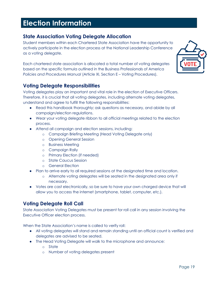# **Election Information**

### **State Association Voting Delegate Allocation**

Student members within each Chartered State Association have the opportunity to actively participate in the election process at the National Leadership Conference as a voting delegate.

Each chartered state association is allocated a total number of voting delegates based on the specific formula outlined in the Business Professionals of America *Policies and Procedures Manual* (Article XI, Section E – Voting Procedures).



# **Voting Delegate Responsibilities**

Voting delegates play an important and vital role in the election of Executive Officers. Therefore, it is crucial that all voting delegates, including alternate voting delegates, understand and agree to fulfill the following responsibilities:

- Read this handbook thoroughly; ask questions as necessary, and abide by all campaign/election regulations.
- Wear your voting delegate ribbon to all official meetings related to the election process.
- Attend all campaign and election sessions, including:
	- o Campaign Briefing Meeting (Head Voting Delegate only)
	- o Opening General Session
	- o Business Meeting
	- o Campaign Rally
	- o Primary Election (if needed)
	- o State Caucus Session
	- o General Election
- Plan to arrive early to all required sessions at the designated time and location.
	- o Alternate voting delegates will be seated in the designated area only if necessary.
- Votes are cast electronically, so be sure to have your own charged device that will allow you to access the internet (smartphone, tablet, computer, etc.).

# **Voting Delegate Roll Call**

State Association Voting Delegates must be present for roll call in any session involving the Executive Officer election process.

When the State Association's name is called to verify roll:

- All voting delegates will stand and remain standing until an official count is verified and delegates are advised to be seated.
- The Head Voting Delegate will walk to the microphone and announce:
	- o State
	- o Number of voting delegates present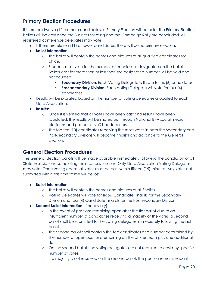# **Primary Election Procedures**

If there are twelve (12) or more candidates, a Primary Election will be held. The Primary Election ballots will be cast once the Business Meeting and the Campaign Rally are concluded. All registered conference delegates may vote.

- If there are eleven (11) or fewer candidates, there will be no primary election.
- **Ballot Information:**
	- o The ballot will contain the names and pictures of all qualified candidates for office.
	- o Students must vote for the number of candidates designated on the ballot. Ballots cast for more than or less than the designated number will be void and not counted:
		- **Secondary Division:** Each Voting Delegate will vote for six (6) candidates.
		- **Post-secondary Division:** Each Voting Delegate will vote for four (4) candidates.
- Results will be prorated based on the number of voting delegates allocated to each State Association.
- **Results:**
	- o Once it is verified that all votes have been cast and results have been tabulated, the results will be shared out through National BPA social media platforms and posted at NLC headquarters.
	- o The top ten (10) candidates receiving the most votes in both the Secondary and Post-secondary Divisions will become finalists and advance to the General Election.

#### **General Election Procedures**

The General Election ballots will be made available immediately following the conclusion of all State Associations completing their caucus sessions. Only State Association Voting Delegates may vote. Once voting opens, all votes must be cast within fifteen (15) minutes. Any votes not submitted within this time frame will be lost.

- **Ballot Information:**
	- o The ballot will contain the names and pictures of all finalists.
	- o Voting Delegates will vote for six (6) Candidate Finalists for the Secondary Division and four (4) Candidate Finalists for the Post-secondary Division.
- **Second Ballot Information** (If necessary):
	- o In the event of positions remaining open after the first ballot due to an insufficient number of candidates receiving a majority of the votes, a second ballot shall be submitted to the voting delegates immediately following the first ballot.
	- o The second ballot shall contain the top candidates at a number determined by the number of open positions remaining on the officer team plus one additional slot.
	- o On the second ballot, the voting delegates are not required to cast any specific number of votes.
	- o If a majority is not received on the second ballot, the position remains vacant.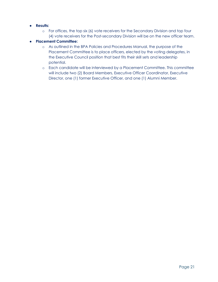#### ● **Results:**

o For offices, the top six (6) vote receivers for the Secondary Division and top four (4) vote receivers for the Post-secondary Division will be on the new officer team.

#### ● **Placement Committee:**

- o As outlined in the BPA Policies and Procedures Manual, the purpose of the Placement Committee is to place officers, elected by the voting delegates, in the Executive Council position that best fits their skill sets and leadership potential.
- o Each candidate will be interviewed by a Placement Committee. This committee will include two (2) Board Members, Executive Officer Coordinator, Executive Director, one (1) former Executive Officer, and one (1) Alumni Member.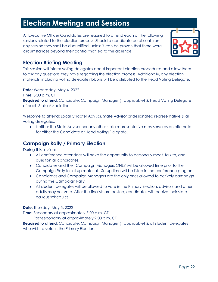# **Election Meetings and Sessions**

All Executive Officer Candidates are required to attend each of the following sessions related to the election process. Should a candidate be absent from any session they shall be disqualified, unless it can be proven that there were circumstances beyond their control that led to the absence.



# **Election Briefing Meeting**

This session will inform voting delegates about important election procedures and allow them to ask any questions they have regarding the election process. Additionally, any election materials, including voting delegate ribbons will be distributed to the Head Voting Delegate.

**Date:** Wednesday, May 4, 2022

**Time:** 3:00 p.m. CT

**Required to attend:** Candidate, Campaign Manager (if applicable) & Head Voting Delegate of each State Association.

Welcome to attend: Local Chapter Advisor, State Advisor or designated representative & all voting delegates.

● Neither the State Advisor nor any other state representative may serve as an alternate for either the Candidate or Head Voting Delegate.

# **Campaign Rally / Primary Election**

During this session:

- All conference attendees will have the opportunity to personally meet, talk to, and question all candidates.
- Candidates and their Campaign Managers ONLY will be allowed time prior to the Campaign Rally to set up materials. Setup time will be listed in the conference program.
- Candidates and Campaign Managers are the only ones allowed to actively campaign during the Campaign Rally.
- All student delegates will be allowed to vote in the Primary Election; advisors and other adults may not vote. After the finalists are posted, candidates will receive their state caucus schedules.

**Date:** Thursday, May 5, 2022

**Time:** Secondary at approximately 7:00 p.m. CT

Post-secondary at approximately 9:00 p.m. CT

**Required to attend:** Candidate, Campaign Manager (if applicable) & all student delegates who wish to vote in the Primary Election.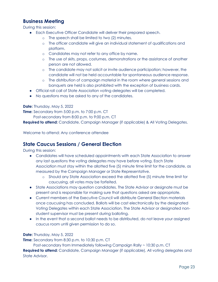### **Business Meeting**

During this session:

- Each Executive Officer Candidate will deliver their prepared speech.
	- o The speech shall be limited to two (2) minutes.
	- o The officer candidate will give an individual statement of qualifications and platform.
	- o Candidates may not refer to any office by name.
	- o The use of skits, props, costumes, demonstrations or the assistance of another person are not allowed.
	- o The candidate may not solicit or invite audience participation; however, the candidate will not be held accountable for spontaneous audience response.
	- o The distribution of campaign material in the room where general sessions and banquets are held is also prohibited with the exception of business cards.
- Official roll call of State Association voting delegates will be completed.
- No questions may be asked to any of the candidates.

#### **Date:** Thursday, May 5, 2022

**Time:** Secondary from 5:00 p.m. to 7:00 p.m. CT

Post-secondary from 8:00 p.m. to 9:00 p.m. CT

**Required to attend:** Candidate, Campaign Manager (if applicable) & All Voting Delegates.

Welcome to attend: Any conference attendee

#### **State Caucus Sessions / General Election**

During this session:

- Candidates will have scheduled appointments with each State Association to answer any last questions the voting delegates may have before voting. Each State Association must stay within the allotted five (5) minute time limit for the candidate, as measured by the Campaign Manager or State Representative.
	- o Should any State Association exceed the allotted five (5) minute time limit for caucusing, all votes may be forfeited.
- State Associations may question candidates. The State Advisor or designate must be present and is responsible for making sure that questions asked are appropriate.
- Current members of the Executive Council will distribute General Election materials once caucusing has concluded. Ballots will be cast electronically by the designated Voting Delegates within each State Association. The State Advisor or designated nonstudent supervisor must be present during balloting.
- In the event that a second ballot needs to be distributed, do not leave your assigned caucus room until given permission to do so.

#### **Date:** Thursday, May 5, 2022

**Time:** Secondary from 8:30 p.m. to 10:30 p.m. CT

Post-secondary from Immediately following Campaign Rally ~ 10:30 p.m. CT

**Required to attend:** Candidate, Campaign Manager (if applicable), All voting delegates and State Advisor.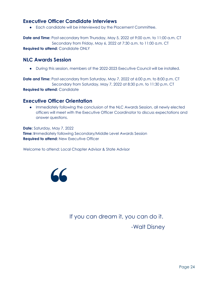#### **Executive Officer Candidate Interviews**

● Each candidate will be interviewed by the Placement Committee.

**Date and Time:** Post-secondary from Thursday, May 5, 2022 at 9:00 a.m. to 11:00 a.m. CT Secondary from Friday, May 6, 2022 at 7:30 a.m. to 11:00 a.m. CT **Required to attend:** Candidate ONLY

#### **NLC Awards Session**

● During this session, members of the 2022-2023 Executive Council will be installed.

**Date and Time:** Post-secondary from Saturday, May 7, 2022 at 6:00 p.m. to 8:00 p.m. CT Secondary from Saturday, May 7, 2022 at 8:30 p.m. to 11:30 p.m. CT **Required to attend:** Candidate

#### **Executive Officer Orientation**

● Immediately following the conclusion of the NLC Awards Session, all newly elected officers will meet with the Executive Officer Coordinator to discuss expectations and answer questions.

**Date:** Saturday, May 7, 2022 **Time:** Immediately following Secondary/Middle Level Awards Session **Required to attend: New Executive Officer** 

Welcome to attend: Local Chapter Advisor & State Advisor



If you can dream it, you can do it.

-Walt Disney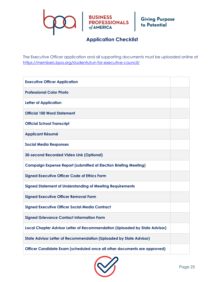# BUSINESS<br>PROFESSIONALS Giving Purpose<br>of AMERICA<br>of AMERICA

# **Application Checklist**

The Executive Officer application and all supporting documents must be uploaded online at <https://members.bpa.org/students/run-for-executive-council/>

| <b>Executive Officer Application</b>                                       |  |
|----------------------------------------------------------------------------|--|
| <b>Professional Color Photo</b>                                            |  |
| <b>Letter of Application</b>                                               |  |
| <b>Official 100 Word Statement</b>                                         |  |
| <b>Official School Transcript</b>                                          |  |
| <b>Applicant Résumé</b>                                                    |  |
| <b>Social Media Responses</b>                                              |  |
| <b>30-second Recorded Video Link (Optional)</b>                            |  |
| <b>Campaign Expense Report (submitted at Election Briefing Meeting)</b>    |  |
| <b>Signed Executive Officer Code of Ethics Form</b>                        |  |
| <b>Signed Statement of Understanding of Meeting Requirements</b>           |  |
| <b>Signed Executive Officer Removal Form</b>                               |  |
| <b>Signed Executive Officer Social Media Contract</b>                      |  |
| <b>Signed Grievance Contact Information Form</b>                           |  |
| Local Chapter Advisor Letter of Recommendation (Uploaded by State Advisor) |  |
| <b>State Advisor Letter of Recommendation (Uploaded by State Advisor)</b>  |  |
| Officer Candidate Exam (scheduled once all other documents are approved)   |  |

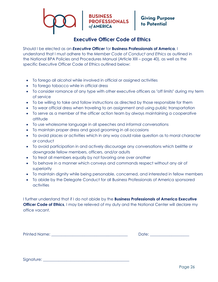# **BUSINESS<br>PROFESSIONALS**

# Giving Purpose<br>to Potential

# **Executive Officer Code of Ethics**

Should I be elected as an *Executive Officer* for **Business Professionals of America**, I understand that I must adhere to the *Member Code of Conduct and Ethics* as outlined in the National BPA Policies and Procedures Manual (Article XIII – page 40), as well as the specific Executive Officer Code of Ethics outlined below:

- To forego all alcohol while involved in official or assigned activities
- To forego tobacco while in official dress
- To consider romance of any type with other executive officers as "off limits" during my term of service
- To be willing to take and follow instructions as directed by those responsible for them
- To wear official dress when traveling to an assignment and using public transportation
- To serve as a member of the officer action team by always maintaining a cooperative attitude
- To use wholesome language in all speeches and informal conversations
- To maintain proper dress and good grooming in all occasions
- To avoid places or activities which in any way could raise question as to moral character or conduct
- To avoid participation in and actively discourage any conversations which belittle or downgrade fellow members, officers, and/or adults
- To treat all members equally by not favoring one over another
- To behave in a manner which conveys and commands respect without any air of superiority
- To maintain dignity while being personable, concerned, and interested in fellow members
- To abide by the Delegate Conduct for all Business Professionals of America sponsored activities

I further understand that if I do not abide by the **Business Professionals of America Executive Officer Code of Ethics**, I may be relieved of my duty and the National Center will declare my office vacant.

Printed Name: \_\_\_\_\_\_\_\_\_\_\_\_\_\_\_\_\_\_\_\_\_\_\_\_\_\_\_\_\_\_\_\_\_\_\_\_\_\_\_ Date: \_\_\_\_\_\_\_\_\_\_\_\_\_\_\_\_\_\_\_\_

| Date: |  |  |
|-------|--|--|
|       |  |  |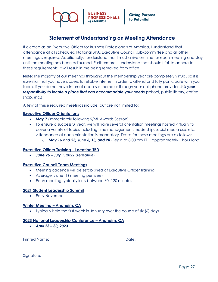

#### **Statement of Understanding on Meeting Attendance**

If elected as an Executive Officer for Business Professionals of America, I understand that attendance at all scheduled National BPA, Executive Council, sub-committee and all other meetings is required. Additionally, I understand that I must arrive on-time for each meeting and stay until the meeting has been adjourned. Furthermore, I understand that should I fail to adhere to these requirements, it will result in me being removed from office.

**Note:** The majority of our meetings throughout the membership year are completely virtual, so it is essential that you have access to reliable internet in order to attend and fully participate with your team. If you do not have internet access at home or through your cell phone provider, *it is your responsibility to locate a place that can accommodate your needs* (school, public library, coffee shop, etc.)

A few of these required meetings include, but are not limited to:

#### **Executive Officer Orientations**

- *May 7* (immediately following S/ML Awards Session)
- To ensure a successful year, we will have several orientation meetings hosted virtually to cover a variety of topics including time management, leadership, social media use, etc. Attendance at each orientation is mandatory. Dates for these meetings are as follows:
	- o *May 16 and 23; June 6, 13, and 20* (Begin at 8:00 pm ET ~ approximately 1 hour long)

#### **Executive Officer Training – Location TBD**

• *June 26 – July 1, 2022* (*Tentative*)

#### **Executive Council Team Meetings**

- Meeting cadence will be established at Executive Officer Training
- Average is one (1) meeting per week
- Each meeting typically lasts between 60 -120 minutes

#### **2021 Student Leadership Summit**

• Early November

#### **Winter Meeting – Anaheim, CA**

• Typically held the first week in January over the course of six (6) days

#### **2023 National Leadership Conference – Anaheim, CA**

• *April 23 – 30, 2023*

Printed Name: \_\_\_\_\_\_\_\_\_\_\_\_\_\_\_\_\_\_\_\_\_\_\_\_\_\_\_\_\_\_\_\_\_\_\_\_\_\_\_ Date: \_\_\_\_\_\_\_\_\_\_\_\_\_\_\_\_\_\_\_\_

| )ate: |  |  |  |
|-------|--|--|--|
|       |  |  |  |

Signature: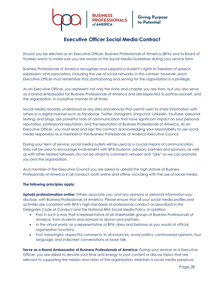

#### **Executive Officer Social Media Contract**

Should you be elected as an Executive Officer, Business Professionals of America (BPA) and its Board of Trustees wants to make sure you are aware of the Social Media Guidelines during your service term.

Business Professionals of America recognizes and supports a student's rights to freedom of speech, expression, and association, including the use of social networks. In this context, however, each Executive Officer must remember that participating and serving for the organization is a privilege.

As an Executive Officer, you represent not only the state and chapter you are from, but you also serve as a brand ambassador for Business Professionals of America and are expected to portray yourself, and the organization, in a positive manner at all times.

Social media, broadly understood as any sites and services that permit users to share information with others in a digital manner such as Facebook, Twitter, Instagram, Snapchat, LinkedIn, YouTube, personal texting, and blogs, are powerful tools of communication that have significant impact on your personal reputation, professional reputation, and the reputation of Business Professionals of America. As an Executive Officer, you must read and sign this contract acknowledging your responsibility to use social media responsibly as a member of the Business Professionals of America Executive Council.

During your term of service, social media outlets will be used as a crucial means of communication. They will be used to encourage involvement with BPA students, advisors, partners and sponsors, as well as with other related followers. Do not be afraid to comment, retweet and "Like" so we can promote you and the organization.

As a member of the Executive Council you are asked to uphold the high stature of Business Professionals of America in all conduct, both online and offline, including with the use of social media.

#### **The following principles apply:**

**Uphold professionalism online:** Others associate you, and any opinions or personal information you disclose, with Business Professionals of America. Please ensure that all your social media profiles and activities are consistent with BPA's high standards of professional conduct as described in the Delegates Code of Conduct and the National BPA Social Media Policy. In addition:

- Post in such a way that is representative of all stakeholder groups of Business Professionals of America, from students and advisors to alumni and partners.
- In the virtual world, as a representative of BPA, dress and behave as you would at official organization functions.
- Post meaningful, respectful comments. In all instances, avoid politics, controversial opinions, foul language, and indiscreet conversations or loose talk.

**Serve as a Brand Ambassador of Business Professionals of America:** During your service as a Executive Officer, you are asked to devote your time and energy to post content or discuss topics that are relevant to supporting the mission and vision of the organization. Maintain a social media presence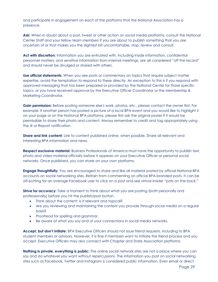and participate in engagement on each of the platforms that the National Association has a presence.

**Ask:** When in doubt about a post, tweet or other action on social media platforms, consult the National Center Staff and your fellow team members If you are about to publish something that you are uncertain of or that makes you the slightest bit uncomfortable, stop, review and consult.

**Act with discretion:** Information you are entrusted with, including inside information, confidential personnel matters, and sensitive information from internal meetings, are all considered "off the record" and should never be divulged or shared with others.

**Use official statements:** When you see posts or commentary on topics that require subject matter expertise, avoid the temptation to respond to these directly. An exception to this is if you respond with approved messaging that has been prepared or provided by the National Center for those specific topics, or you have received approval by the Executive Officer Coordinator or the Membership & Marketing Coordinator.

**Gain permission:** Before posting someone else's work, photos, etc., please contact the owner first. For example, if another person has posted a picture of a local BPA event and you would like to highlight it on your page or on the National BPA platforms, please first ask the original poster if it would be permissible to share their photo and content. Always remember to credit and tag appropriately using the @ or Repost notification.

**Share and link content:** Link to content published online, when possible. Share all relevant and interesting BPA information and news.

**Respect exclusive material:** Business Professionals of America must have the opportunity to publish text, photo and video material officially before it appears on your Executive Officer or personal social networks. Once published, you can share on your own platforms.

**Engage thoughtfully:** You are encouraged to share and like all material posted by official National BPA accounts on social networking sites. Refrain from commenting on official BPA-branded posts. It can be off-putting for an average Facebook user to click on a post and see virtual insider "pats on the back."

**Strive for accuracy:** Take a moment to think about what you are posting (both personally and professionally) before you hit the publish/post button.

- Think about the content: is it relevant and topical?
- Are you reviewing and maintaining the content you provide through social media on a regular basis?
- Proofread for spelling and grammar.
- Be aware of what you say and of your connections in social media networks.

**Accept, but don't initiate:** BPA Executive Officers should not issue friend requests, including to BPA student members or advisors. However, it is fine if members want to initiate the friend process and you accept. Executive Officers may also connect with Chapter and State Association platforms.

**Nothing is private, everything is public:** The online social network sites are not a place where you can say and do whatever you want without repercussions. The information you post on social networking sites such as Facebook, Twitter and Instagram is considered public information. Even email or direct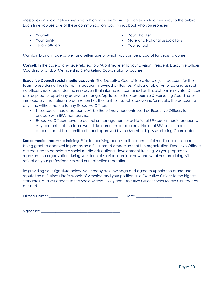messages on social networking sites, which may seem private, can easily find their way to the public. Each time you use one of these communication tools, think about who you represent:

- Yourself
- Your family
- Fellow officers
- Your chapter
- State and National associations
- Your school

Maintain brand image as well as a self-image of which you can be proud of for years to come.

**Consult:** In the case of any issue related to BPA online, refer to your Division President, Executive Officer Coordinator and/or Membership & Marketing Coordinator for counsel.

**Executive Council social media accounts:** The Executive Council is provided a joint account for the team to use during their term. This account is owned by Business Professionals of America and as such, no officer should be under the impression that information contained on this platform is private. Officers are required to report any password changes/updates to the Membership & Marketing Coordinator immediately. The national organization has the right to inspect, access and/or revoke the account at any time without notice to any Executive Officer.

- These social media accounts will be the primary accounts used by Executive Officers to engage with BPA membership.
- Executive Officers have no control or management over National BPA social media accounts. Any content that the team would like communicated across National BPA social media accounts must be submitted to and approved by the Membership & Marketing Coordinator.

**Social media leadership training:** Prior to receiving access to the team social media accounts and being granted approval to post as an official brand ambassador of the organization, Executive Officers are required to complete a social media educational development training. As you prepare to represent the organization during your term of service, consider how and what you are doing will reflect on your professionalism and our collective reputation.

By providing your signature below, you hereby acknowledge and agree to uphold the brand and reputation of Business Professionals of America and your position as a Executive Officer to the highest standards, and will adhere to the Social Media Policy and Executive Officer Social Media Contract as outlined.

Printed Name: \_\_\_\_\_\_\_\_\_\_\_\_\_\_\_\_\_\_\_\_\_\_\_\_\_\_\_\_\_\_\_\_\_\_\_\_\_\_\_ Date: \_\_\_\_\_\_\_\_\_\_\_\_\_\_\_\_\_\_\_\_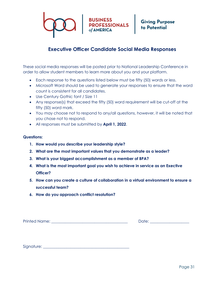

#### **Executive Officer Candidate Social Media Responses**

These social media responses will be posted prior to National Leadership Conference in order to allow student members to learn more about you and your platform.

- Each response to the questions listed below must be fifty (50) words or less.
- Microsoft Word should be used to generate your responses to ensure that the word count is consistent for all candidates.
- Use Century Gothic font / Size 11
- Any response(s) that exceed the fifty (50) word requirement will be cut-off at the fifty (50) word mark.
- You may choose not to respond to any/all questions, however, it will be noted that you chose not to respond.
- All responses must be submitted by **April 1, 2022**.

#### **Questions:**

- **1. How would you describe your leadership style?**
- **2. What are the most important values that you demonstrate as a leader?**
- **3. What is your biggest accomplishment as a member of BPA?**
- **4. What is the most important goal you wish to achieve in service as an Exective Officer?**
- **5. How can you create a culture of collaboration in a virtual environment to ensure a successful team?**
- **6. How do you approach conflict resolution?**

Printed Name: \_\_\_\_\_\_\_\_\_\_\_\_\_\_\_\_\_\_\_\_\_\_\_\_\_\_\_\_\_\_\_\_\_\_\_\_\_\_\_ Date: \_\_\_\_\_\_\_\_\_\_\_\_\_\_\_\_\_\_\_\_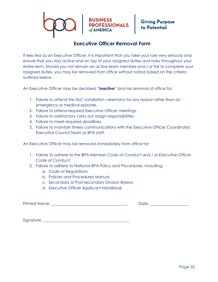

#### **Executive Officer Removal Form**

If elected as an Executive Officer, it is important that you take your role very seriously and ensure that you stay active and on top of your assigned duties and tasks throughout your entire term. Should you not remain an active team member and / or fail to complete your assigned duties, you may be removed from office without notice based on the criteria outlined below.

An Executive Officer may be declared "**Inactive**" and risk removal of office for:

- 1. Failure to attend the NLC installation ceremony for any reason other than an emergency or medical episode.
- 2. Failure to attend required Executive Officer meetings.
- 3. Failure to satisfactory carry out assign responsibilities.
- 4. Failure to meet required deadlines.
- 5. Failure to maintain timely communications with the Executive Officer Coordinator, Executive Council Team or BPA staff.

An Executive Officer may be removed immediately from office for:

- 1. Failure to adhere to the BPA *Member Code of Conduct* and / or *Executive Officer Code of Conduct*.
- 2. Failure to adhere to National BPA Policy and Procedures, including:
	- a. Code of Regulations
	- b. Policies and Procedures Manual
	- c. Secondary or Post-secondary Division Bylaws
	- d. Executive Officer Applicant Handbook

Printed Name: \_\_\_\_\_\_\_\_\_\_\_\_\_\_\_\_\_\_\_\_\_\_\_\_\_\_\_\_\_\_\_\_\_\_\_\_\_\_\_ Date: \_\_\_\_\_\_\_\_\_\_\_\_\_\_\_\_\_\_\_\_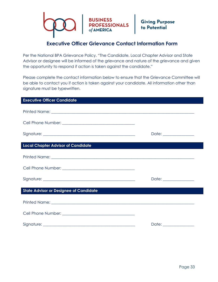

### **Executive Officer Grievance Contact Information Form**

Per the National BPA Grievance Policy, "The Candidate, Local Chapter Advisor and State Advisor or designee will be informed of the grievance and nature of the grievance and given the opportunity to respond if action is taken against the candidate."

Please complete the contact information below to ensure that the Grievance Committee will be able to contact you if action is taken against your candidate. All information other than signature must be typewritten.

| <b>Executive Officer Candidate</b>                                                                                                                                                                                                   |                        |
|--------------------------------------------------------------------------------------------------------------------------------------------------------------------------------------------------------------------------------------|------------------------|
|                                                                                                                                                                                                                                      |                        |
|                                                                                                                                                                                                                                      |                        |
|                                                                                                                                                                                                                                      |                        |
| <b>Local Chapter Advisor of Candidate</b>                                                                                                                                                                                            |                        |
| Printed Name: <u>Andrea Barbara and American and American and American and American and American and American and American and American and American and American and American and American and American and American and Americ</u> |                        |
|                                                                                                                                                                                                                                      |                        |
|                                                                                                                                                                                                                                      | Date: ________________ |
| <b>State Advisor or Designee of Candidate</b>                                                                                                                                                                                        |                        |
| Printed Name: <u>New York: Andrew Waldenburg and Theory and Theory and Theory and Theory and Theory and Theory and Theory and Theory and Theory and Theory and Theory and Theory and Theory and Theory and Theory and Theory and</u> |                        |
|                                                                                                                                                                                                                                      |                        |
|                                                                                                                                                                                                                                      | Date: ________________ |